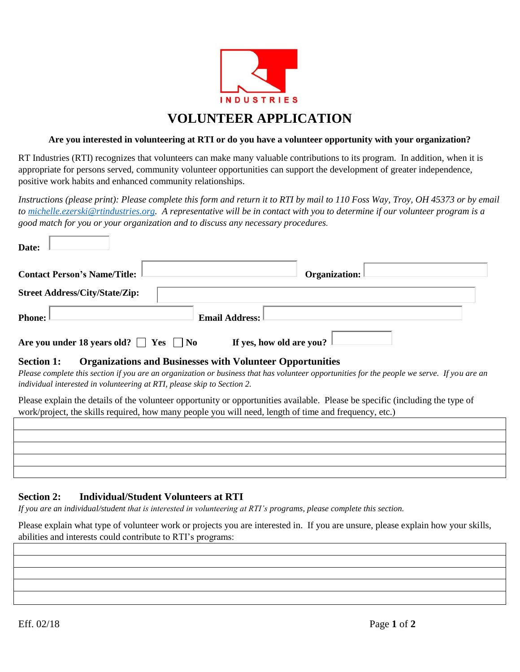

# **VOLUNTEER APPLICATION**

#### **Are you interested in volunteering at RTI or do you have a volunteer opportunity with your organization?**

RT Industries (RTI) recognizes that volunteers can make many valuable contributions to its program. In addition, when it is appropriate for persons served, community volunteer opportunities can support the development of greater independence, positive work habits and enhanced community relationships.

*Instructions (please print): Please complete this form and return it to RTI by mail to 110 Foss Way, Troy, OH 45373 or by email to [michelle.ezerski@rtindustries.org.](mailto:michelle.ezerski@rtindustries.org) A representative will be in contact with you to determine if our volunteer program is a good match for you or your organization and to discuss any necessary procedures.*

| <b>Contact Person's Name/Title:</b>   | <b>Organization:</b>  |
|---------------------------------------|-----------------------|
| <b>Street Address/City/State/Zip:</b> |                       |
| Phone:                                | <b>Email Address:</b> |

#### **Section 1: Organizations and Businesses with Volunteer Opportunities**

*Please complete this section if you are an organization or business that has volunteer opportunities for the people we serve. If you are an individual interested in volunteering at RTI, please skip to Section 2.*

Please explain the details of the volunteer opportunity or opportunities available. Please be specific (including the type of work/project, the skills required, how many people you will need, length of time and frequency, etc.)

|  |  | $\Box$ |
|--|--|--------|
|  |  |        |
|  |  |        |
|  |  |        |
|  |  |        |
|  |  |        |
|  |  |        |
|  |  |        |
|  |  |        |
|  |  |        |
|  |  |        |

# **Section 2: Individual/Student Volunteers at RTI**

*If you are an individual/student that is interested in volunteering at RTI's programs, please complete this section.*

Please explain what type of volunteer work or projects you are interested in. If you are unsure, please explain how your skills, abilities and interests could contribute to RTI's programs: